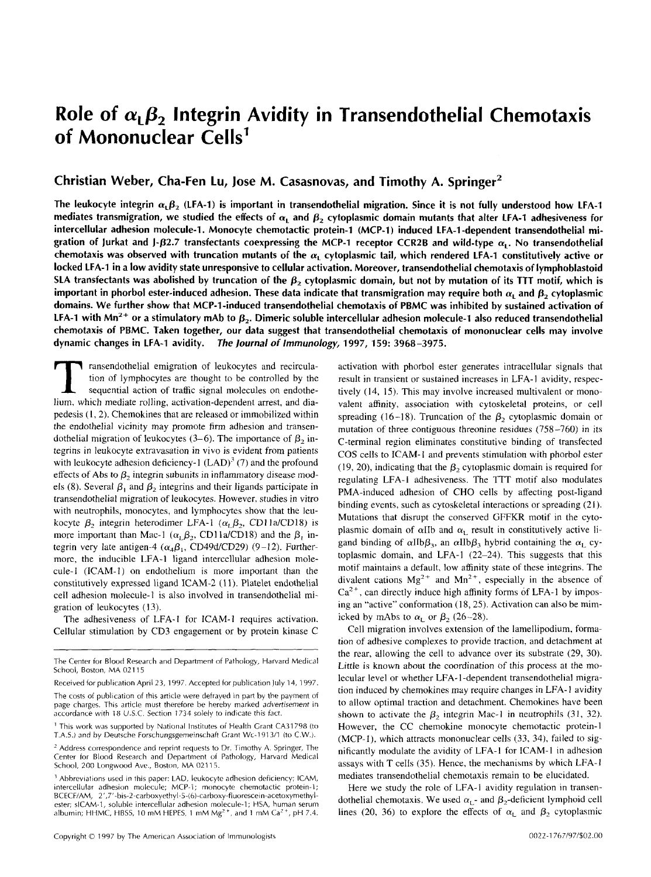# **Role of**  $\alpha_1 \beta_2$  **Integrin Avidity in Transendothelial Chemotaxis of Mononuclear Cells'**

# **Christian Weber, Cha-Fen Lu, Jose M. Casasnovas, and Timothy A. Springer2**

The leukocyte integrin  $\alpha_1\beta_2$  (LFA-1) is important in transendothelial migration. Since it is not fully understood how LFA-1 mediates transmigration, we studied the effects of  $\alpha_1$  and  $\beta_2$  cytoplasmic domain mutants that alter LFA-1 adhesiveness for **intercellular adhesion molecule-1. Monocyte chemotactic protein-I (MCP-1) induced LFA-1 -dependent transendothelial mi**gration of Jurkat and J- $\beta$ 2.7 transfectants coexpressing the MCP-1 receptor CCR2B and wild-type  $\alpha$ . No transendothelial chemotaxis was observed with truncation mutants of the  $\alpha_1$  cytoplasmic tail, which rendered LFA-1 constitutively active or **locked LFA-1 in a low avidity state unresponsive to cellular activation. Moreover, transendothelial chemotaxis of lymphoblastoid**  SLA transfectants was abolished by truncation of the  $\beta_2$  cytoplasmic domain, but not by mutation of its TTT motif, which is important in phorbol ester-induced adhesion. These data indicate that transmigration may require both  $\alpha_L$  and  $\beta_2$  cytoplasmic **domains. We further show that MCP-1-induced transendothelial chemotaxis of PBMC was inhibited by sustained activation of**  LFA-1 with Mn<sup>2+</sup> or a stimulatory mAb to  $\beta_2$ . Dimeric soluble intercellular adhesion molecule-1 also reduced transendothelial **chemotaxis of PBMC. Taken together, our data suggest that transendothelial chemotaxis of mononuclear cells may involve dynamic changes in LFA-1 avidity.** *The lournal of Immunology,* **1997, 159: 3968-3975.** 

T ransendothelial emigration of leukocytes and recircula-<br>tion of lymphocytes are thought to be controlled by the<br>sequential action of traffic signal molecules on endothe-<br>linm which mediate rolling activation-dependent ar tion of lymphocytes are thought to be controlled by the lium, which mediate rolling, activation-dependent arrest, and diapedesis (I, 2). Chemokines that are released or immobilized within the endothelial vicinity may promote firm adhesion and transendothelial migration of leukocytes  $(3-6)$ . The importance of  $\beta_2$  integrins in leukocyte extravasation in vivo is evident from patients with leukocyte adhesion deficiency-1  $(LAD)^3$  (7) and the profound effects of Abs to  $\beta_2$  integrin subunits in inflammatory disease models (8). Several  $\beta_1$  and  $\beta_2$  integrins and their ligands participate in transendothelial migration of leukocytes. However. studies in vitro with neutrophils, monocytes, and lymphocytes show that the leukocyte  $\beta_2$  integrin heterodimer LFA-1 ( $\alpha_L \beta_2$ , CD11a/CD18) is more important than Mac-1 ( $\alpha_1 \beta_2$ , CD11a/CD18) and the  $\beta_1$  integrin very late antigen-4  $(\alpha_4\beta_1, \text{CD49d/CD29})$  (9-12). Furthermore, the inducible LFA-1 ligand intercellular adhesion molecule-1 (ICAM-I) on endothelium is more important than the constitutively expressed ligand ICAM-2 (11). Platelet endothelial cell adhesion molecule-I is also involved in transendothelial migration of leukocytes (13).

The adhesiveness of LFA-1 for ICAM-1 requires activation. Cellular stimulation by CD3 engagement or by protein kinase C activation with phorbol ester generates intracellular signals that result in transient or sustained increases in LFA-1 avidity, respectively (14, 15). This may involve increased multivalent or monovalent affinity, association with cytoskeletal proteins, or cell spreading (16-18). Truncation of the  $\beta_2$  cytoplasmic domain or mutation of three contiguous threonine residues (758-760) in its C-terminal region eliminates constitutive binding of transfected COS cells to ICAM-I and prevents stimulation with phorbol ester (19, 20), indicating that the  $\beta_2$  cytoplasmic domain is required for regulating LFA-I adhesiveness. The TTT motif also modulates PMA-induced adhesion of CHO cells by affecting post-ligand binding events, such as cytoskeletal interactions or spreading (21). Mutations that disrupt the conserved GFFKR motif in the cytoplasmic domain of  $\alpha$ IIb and  $\alpha_L$  result in constitutively active ligand binding of  $\alpha I I b \beta_3$ , an  $\alpha I I b \beta_3$  hybrid containing the  $\alpha_L$  cytoplasmic domain, and LFA-I (22-24). This suggests that this motif maintains a default, low affinity state of these integrins. The divalent cations  $Mg^{2+}$  and  $Mn^{2+}$ , especially in the absence of  $Ca<sup>2+</sup>$ , can directly induce high affinity forms of LFA-1 by imposing an "active" conformation (18, 25). Activation can also be mimicked by mAbs to  $\alpha_1$  or  $\beta_2$  (26-28).

Cell migration involves extension of the lamellipodium, formation of adhesive complexes to provide traction, and detachment at the rear, allowing the cell to advance over its substrate (29, 30). Little is known **about** the coordination of this process at the molecular level or whether LFA- l -dependent transendothelial migration induced by chemokines may require changes in LFA- I avidity to allow optimal traction and detachment. Chemokines have been shown to activate the  $\beta_2$  integrin Mac-1 in neutrophils (31, 32). However, the CC chemokine monocyte chemotactic protein-1 (MCP-I), which attracts mononuclear cells (33, 34). failed to significantly modulate the avidity of LFA-I for ICAM-I in adhesion assays with T cells (35). Hence, the mechanisms by which **LFA-** <sup>I</sup> mediates transendothelial chemotaxis remain to be elucidated.

Here we study the role of LFA-1 avidity regulation in transendothelial chemotaxis. We used  $\alpha_{L}$ - and  $\beta_{2}$ -deficient lymphoid cell lines (20, 36) to explore the effects of  $\alpha_L$  and  $\beta_2$  cytoplasmic

The Center for Blood Research and Department of Pathology, Harvard Medical School, Boston, MA 021 15

Received for publication April 23, 1997. Accepted for publication July 14, 1997.

The costs of publication of this article were defrayed in part by the payment of page charges. This article must therefore be hereby marked advertisement in accordance with 18 *U.S.C.* Section 1734 solely **to** indicate this fact.

T.A.S.) and by Deutsche Forschungsgemeinschaft Grant Wc-1913/1 (to C.W.). ' This work was supported by National Institutes of Health Grant CA31798 (to

 $<sup>2</sup>$  Address correspondence and reprint requests to Dr. Timothy A. Springer, The</sup> Center for Blood Research and Department of Pathology, Harvard Medical School, 200 Longwood Ave., Boston, MA 02115.

intercellular adhesion molecule; MCP-I; monocyte chemotactic protein-1; <sup>3</sup> Abbreviations used in this paper: LAD, leukocyte adhesion deficiency; ICAM, BCECF/AM, 2',7'-his-?-carboxyethyl-5-(6)-carboxy-fluorescein-acetoxymethylester; SICAM-1, soluble intercellular adhesion molecule-1; HSA, human serum albumin; HHMC, HBSS, 10 mM HEPES, 1 mM Mg<sup>2+</sup>, and 1 mM Ca<sup>2+</sup>, pH 7.4.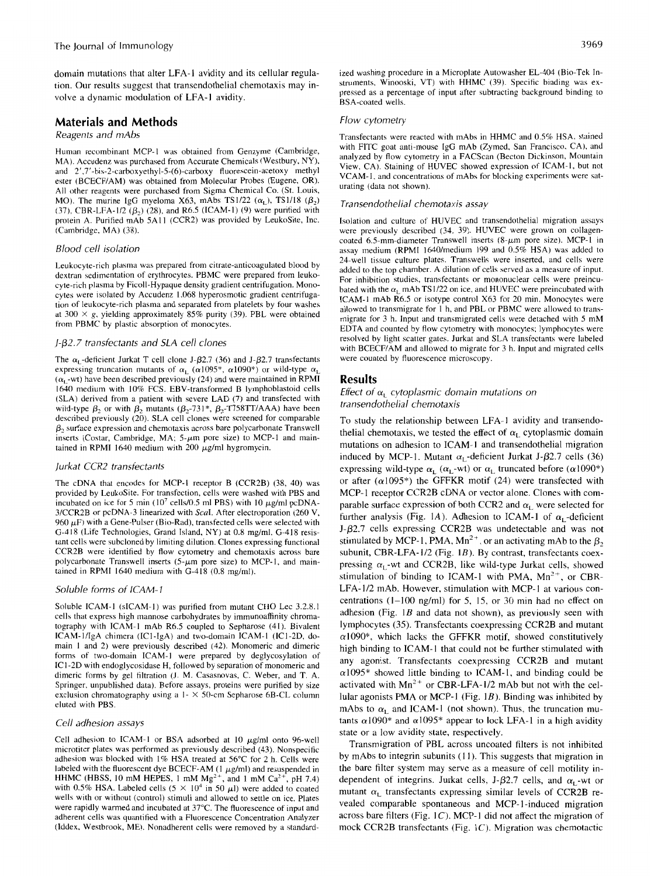domain mutations that alter LFA-I avidity and its cellular regulation. Our results suggest that transendothelial chemotaxis may involve a dynamic modulation of LFA-I avidity.

## **Materials and Methods**

## *Reagents and mAbs*

Human recombinant MCP-I was obtained from Genzyme (Cambridge, MA). Accudenz was purchased from Accurate Chemicals (Westbury, **NY),**  and **2',7'-bis-2-carboxyethyl-S-(6)-carboxy** fluorescein-acetoxy methyl ester (BCECF/AM) was obtained from Molecular Probes (Eugene, OR). **All** other reagents were purchased from Sigma Chemical Co. (St. Louis, MO). The murine IgG myeloma X63, mAbs TS1/22  $(\alpha_L)$ , TS1/18  $(\beta_2)$ (37), CBR-LFA-1/2  $(\beta_2)$  (28), and R6.5 (ICAM-1) (9) were purified with protein A. Purified mAb 5A11 (CCR2) was provided by LeukoSite, Inc. (Cambridge, MA) (38).

#### *Blood cell isolation*

Leukocyte-rich plasma was prepared from citrate-anticoagulated blood by dextran sedimentation of erythrocytes. PBMC were prepared from leukocyte-rich plasma by Ficoll-Hypaque density gradient centrifugation. Monocytes were isolated by Accudenz 1.068 hyperosmotic gradient centrifugation of leukocyte-rich plasma and separated from platelets by four washes at  $300 \times g$ , yielding approximately 85% purity (39). PBL were obtained from PBMC by plastic absorption of monocytes.

#### *J-p2.7 transfectants and SLA cell clones*

The  $\alpha_1$ -deficient Jurkat T cell clone J- $\beta$ 2.7 (36) and J- $\beta$ 2.7 transfectants expressing truncation mutants of  $\alpha_L$  ( $\alpha$ 1095\*,  $\alpha$ 1090\*) or wild-type  $\alpha_L$  $(\alpha_1$ -wt) have been described previously (24) and were maintained in RPMI 1640 medium with 10% FCS. EBV-transformed B lymphoblastoid cells (SLA) derived from a patient with severe LAD (7) and transfected with wild-type  $\beta_2$  or with  $\beta_2$  mutants  $(\beta_2$ -731<sup>\*</sup>,  $\beta_2$ -T758TT/AAA) have been described previously (20). SLA cell clones were screened for comparable  $\beta_2$  surface expression and chemotaxis across bare polycarbonate Transwell inserts (Costar, Cambridge, MA;  $5-\mu m$  pore size) to MCP-1 and maintained in RPMI 1640 medium with  $200 \mu$ g/ml hygromycin.

#### *Jurkat CCRZ transfectants*

The cDNA that encodes for MCP-I receptor B (CCR2B) (38, 40) was provided by LeukoSite. For transfection, cells were washed with PBS and incubated on ice for 5 min  $(10^7 \text{ cells}/0.5 \text{ ml} \text{ PBS})$  with 10  $\mu$ g/ml pcDNA-3/CCR2B or pcDNA-3 linearized with Scal. After electroporation (260 V, 960  $\mu$ F) with a Gene-Pulser (Bio-Rad), transfected cells were selected with G-418 (Life Technologies, Grand Island, **NY)** at 0.8 mg/ml. G-418 resistant cells were subcloned by limiting dilution. Clones expressing functional CCR2B were identified by flow cytometry and chemotaxis across bare polycarbonate Transwell inserts  $(5-\mu m)$  pore size) to MCP-1, and maintained in RPMl 1640 medium with G-418 (0.8 mg/ml).

#### *Soluble forms of /CAM-* **<sup>7</sup>**

Soluble ICAM-I (SICAM-I) was purified from mutant CHO Lec 3.2.8.1 cells that express high mannose carbohydrates by immunoaffinity chromatography with ICAM-I mAb R6.S coupled to Sepharose (41). Bivalent ICAM-I/IgA chimera (ICI-IgA) and two-domain ICAM-I (IC1-2D, domain l and 2) were previously described (42). Monomeric and dimeric forms of two-domain ICAM-I were prepared by deglycosylation of ICI-2D with endoglycosidase H, followed by separation of monomeric and dimeric forms by gel filtration **(J.** M. Casasnovas, C. Weber, and T. **A.**  Springer, unpublished data). Before assays, proteins were purified by size exclusion chromatography using a  $1 - \times 50$ -cm Sepharose 6B-CL column eluted with PBS.

#### *Cell adhesion assays*

Cell adhesion to ICAM-1 or BSA adsorbed at 10  $\mu$ g/ml onto 96-well microtiter plates was performed as previously described (43). Nonspecific adhesion was blocked with 1% HSA treated at 56°C for 2 h. Cells were HHMC (HBSS, 10 mM HEPES, 1 mM  $Mg^{2+}$ , and 1 mM  $Ca^{2+}$ , pH 7.4) labeled with the fluorescent dye BCECF-AM (1  $\mu$ g/ml) and resuspended in with 0.5% HSA. Labeled cells  $(5 \times 10^4 \text{ in } 50 \text{ }\mu\text{I})$  were added to coated wells with or without (control) stimuli and allowed to settle on ice. Plates were rapidly warmed and incubated at 37°C. The fluorescence of input and adherent cells was quantified with a Fluorescence Concentration Analyzer (lddex, Westbrook, ME). Nonadherent cells were removed by a standardized washing procedure in a Microplate Autowasher EL-404 (Bio-Tek Instruments, Winooski, VT) with HHMC (39). Specific binding was expressed as a percentage of input after subtracting background binding to BSA-coated wells.

#### *Flow cytometry*

Transfectants were reacted with mAbs in HHMC and *0.5%* HSA, stained with FITC goat anti-mouse IgG mAb (Zymed, San Francisco, CA), and analyzed by flow cytometry in a FACScan (Becton Dickinson, Mountain View, CA). Staining of HUVEC showed expression of ICAM-I, but not VCAM-I, and concentrations of mAbs for blocking experiments were saturating (data not shown).

#### *Transendothelial chemotaxis assay*

Isolation and culture of HUVEC and transendothelial migration assays were previously described (34, 39). HUVEC were grown on collagencoated 6.5-mm-diameter Transwell inserts  $(8-\mu m)$  pore size). MCP-1 in assay medium (RPMI 164O/medium 199 and 0.5% HSA) was added to 24-well tissue culture plates. Transwells were inserted, and cells were added to the top chamber. A dilution of cells served as a measure of input. For inhibition studies, transfectants or mononuclear cells were preincubated with the  $\alpha_L$  mAb TS1/22 on ice, and HUVEC were preincubated with ICAM-I mAb R6.5 or isotype control X63 for 20 min. Monocytes were allowed to transmigrate for 1 h, and PBL or PBMC were allowed to transmigrate for 3 h. Input and transmigrated cells were detached with *S* mM EDTA and counted by flow cytometry with monocytes: lymphocytes were resolved by light scatter gates. Jurkat and SLA transfectants were labeled with BCECF/AM and allowed to migrate for 3 h. Input and migrated cells were counted by fluorescence microscopy.

## **Results**

## *Effect of*  $\alpha$ *<sub>1</sub> cytoplasmic domain mutations on transendothelial chemotaxis*

To study the relationship between LFA-I avidity and transendothelial chemotaxis, we tested the effect of  $\alpha_1$  cytoplasmic domain mutations on adhesion to ICAM-I and transendothelial migration induced by MCP-1. Mutant  $\alpha_L$ -deficient Jurkat J- $\beta$ 2.7 cells (36) expressing wild-type  $\alpha_L$  ( $\alpha_L$ -wt) or  $\alpha_L$  truncated before ( $\alpha$ 1090<sup>\*</sup>) or after  $(\alpha 1095^*)$  the GFFKR motif (24) were transfected with MCP-1 receptor CCR2B cDNA or vector alone. Clones with comparable surface expression of both CCR2 and  $\alpha_1$  were selected for further analysis (Fig. 1A). Adhesion to ICAM-1 of  $\alpha_L$ -deficient  $J-\beta$ 2.7 cells expressing CCR2B was undetectable and was not stimulated by MCP-1, PMA,  $Mn^{2+}$ , or an activating mAb to the  $\beta_2$ subunit, CBR-LFA-1/2 (Fig. 1B). By contrast, transfectants coexpressing  $\alpha_1$ -wt and CCR2B, like wild-type Jurkat cells, showed stimulation of binding to ICAM-1 with PMA,  $Mn^{2+}$ , or CBR-LFA-1/2 mAb. However, stimulation with MCP-I at various concentrations ( 1-100 ng/ml) for *5,* 15, or 30 min had no effect on adhesion (Fig. *1B* and data not shown), as previously seen with lymphocytes (35). Transfectants coexpressing CCR2B and mutant  $\alpha$ 1090<sup>\*</sup>, which lacks the GFFKR motif, showed constitutively high binding to ICAM-1 that could not be further stimulated with any agonist. Transfectants coexpressing CCR2B and mutant  $\alpha$ 1095<sup>\*</sup> showed little binding to ICAM-1, and binding could be activated with  $Mn^{2+}$  or CBR-LFA-1/2 mAb but not with the cellular agonists PMA or MCP-1 (Fig.  $1B$ ). Binding was inhibited by mAbs to  $\alpha_L$  and ICAM-1 (not shown). Thus, the truncation mutants  $\alpha$ 1090\* and  $\alpha$ 1095\* appear to lock LFA-1 in a high avidity state or a low avidity state, respectively.

Transmigration of PBL across uncoated filters is not inhibited by mAbs to integrin subunits (I I). This suggests that migration in the bare filter system may serve as a measure of cell motility independent of integrins. Jurkat cells, J- $\beta$ 2.7 cells, and  $\alpha$ <sub>r</sub>-wt or mutant  $\alpha_L$  transfectants expressing similar levels of CCR2B revealed comparable spontaneous and MCP- 1 -induced migration across bare filters (Fig. 1C). MCP-1 did not affect the migration of mock CCR2B transfectants (Fig.  $1C$ ). Migration was chemotactic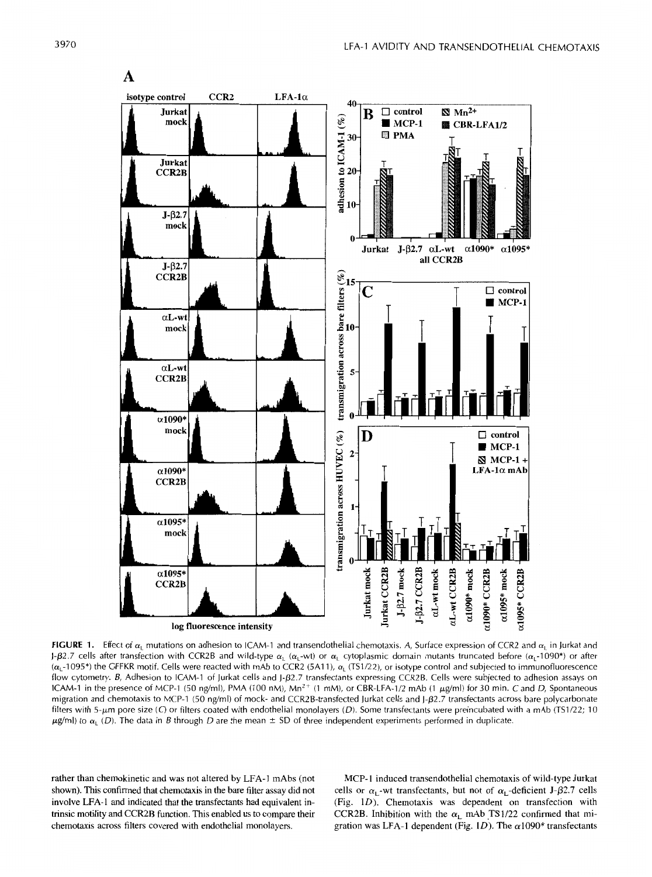

**FIGURE 1.** Effect of  $\alpha_1$  mutations on adhesion to ICAM-1 and transendothelial chemotaxis. *A*, Surface expression of CCR2 and  $\alpha_L$  in Jurkat and J- $\beta$ 2.7 cells after transfection with CCR2B and wild-type  $\alpha_L$  ( $\alpha_L$ -wt) or  $\alpha_L$  cytoplasmic domain mutants truncated before ( $\alpha_L$ -1090\*) or after  $(\alpha, -1095^*)$  the GFFKR motif. Cells were reacted with mAb to CCR2 (5A11),  $\alpha_1$  (TS1/22), or isotype control and subjected to immunofluorescence flow cytometry. B, Adhesion to ICAM-1 of Jurkat cells and J- $\beta$ 2.7 transfectants expressing CCR2B. Cells were subjected to adhesion assays on ICAM-1 in the presence of MCP-1 (50 ng/ml), PMA (100 nM), Mn<sup>2+</sup> (1 mM), or CBR-LFA-1/2 mAb (1 µg/ml) for 30 min. C and *D*, Spontaneous migration and chemotaxis to MCP-1 (50 ng/ml) of mock- and CCR2B-transfected Jurkat cells and J- $\beta$ 2.7 transfectants across bare polycarbonate filters with 5-um pore size (C) or filters coated with endothelial monolayers (D). Some transfectants were preincubated with a mAb (TS1/22; 10  $\mu$ g/ml) to  $\alpha_L$  (D). The data in *B* through *D* are the mean  $\pm$  SD of three independent experiments performed in duplicate.

rather than chemokinetic and was not altered by LFA-1 mAbs (not MCP-1 induced transendothelial chemotaxis of wild-type Jurkat shown). This confirmed that chemotaxis in the bare filter assay did not cells or  $\alpha_1$ -wt tran shown). This confirmed that chemotaxis in the bare filter assay did not cells or  $\alpha_L$ -wt transfectants, but not of  $\alpha_L$ -deficient J- $\beta$ 2.7 cells involve LFA-1 and indicated that the transfectants had equivalent in-<br>(Fi involve LFA-1 and indicated that the transfectants had equivalent in-<br>trinsic motility and CCR2B function. This enabled us to compare their<br>CCR2B. Inhibition with the  $\alpha_1$  mAb TS1/22 confirmed that mitrinsic motility and CCR2B function. This enabled us to compare their CCR2B. Inhibition with the  $\alpha_L$  mAb TS1/22 confirmed that mi-<br>chemotaxis across filters covered with endothelial monolayers. gration was LFA-1 depende gration was LFA-1 dependent (Fig. 1D). The  $\alpha$ 1090\* transfectants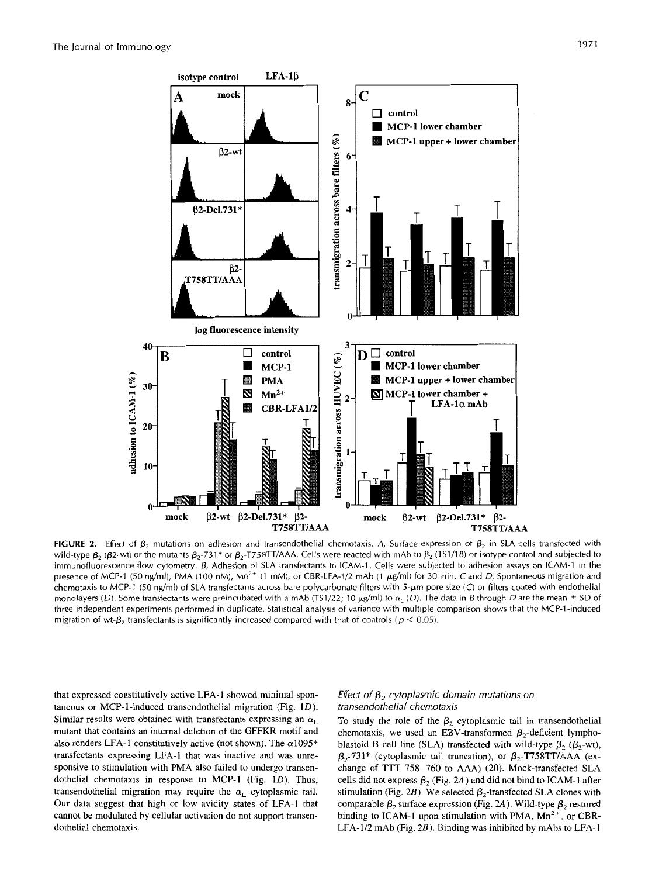

**FIGURE 2.** Effect of  $\beta_2$  mutations on adhesion and transendothelial chemotaxis. A, Surface expression of  $\beta_2$  in SLA cells transfected with wild-type  $\beta_2$  ( $\beta$ 2-wt) or the mutants  $\beta_2$ -731\* or  $\beta_2$ -T758TT/AAA. Cells were reacted with mAb to  $\beta_2$  (TS1/18) or isotype control and subjected to immunofluorescence flow cytometry. *6,* Adhesion of SLA transfectants to [CAM-1. Cells were subjected to adhesion assays on ICAM-1 in the presence of MCP-1 (50 ng/ml), PMA (100 nM), Mn<sup>2+</sup> (1 mM), or CBR-LFA-1/2 mAb (1 μg/ml) for 30 min. C and *D*, Spontaneous migration and chemotaxis to MCP-1 (50 ng/ml) of SLA transfectants across bare polycarbonate filters with 5-um pore size (C) or filters coated with endothelial monolayers (D). Some transfectants were preincubated with a mAb (TS1/22; 10  $\mu$ g/ml) to  $\alpha_L$  (D). The data in *B* through D are the mean  $\pm$  SD of three independent experiments performed in duplicate. Statistical analysis of variance with multiple Comparison shows that the MCP-1-induced migration of wt- $\beta_2$  transfectants is significantly increased compared with that of controls ( $p < 0.05$ ).

that expressed constitutively active LFA-1 showed minimal spontaneous or MCP-1-induced transendothelial migration (Fig.  $1D$ ). Similar results were obtained with transfectants expressing an  $\alpha_L$ mutant that contains an internal deletion of the GFFKR motif and also renders LFA-1 constitutively active (not shown). The  $\alpha$ 1095\* transfectants expressing LFA-1 that was inactive and was unresponsive to stimulation with PMA also failed to undergo transendothelial chemotaxis in response to MCP-I (Fig. **1D).** Thus, transendothelial migration may require the  $\alpha_L$  cytoplasmic tail. Our data suggest that high or low avidity states of LFA-1 that cannot be modulated by cellular activation do not support transendothelial chemotaxis.

## *Effect of*  $\beta$ *<sub>2</sub> cytoplasmic domain mutations on transendothelial chemotaxis*

To study the role of the  $\beta_2$  cytoplasmic tail in transendothelial chemotaxis, we used an EBV-transformed  $\beta_2$ -deficient lymphoblastoid B cell line (SLA) transfected with wild-type  $\beta_2$  ( $\beta_2$ -wt),  $\beta_2$ -731\* (cytoplasmic tail truncation), or  $\beta_2$ -T758TT/AAA (exchange of TTT 758-760 to AAA) (20). Mock-transfected SLA cells did not express  $\beta_2$  (Fig. 2A) and did not bind to ICAM-1 after stimulation (Fig. 2B). We selected  $\beta_2$ -transfected SLA clones with comparable  $\beta_2$  surface expression (Fig. 2A). Wild-type  $\beta_2$  restored binding to ICAM-1 upon stimulation with PMA,  $Mn^{2+}$ , or CBR-LFA-1/2 mAb (Fig. *2B).* Binding was inhibited by mAbs to LFA-I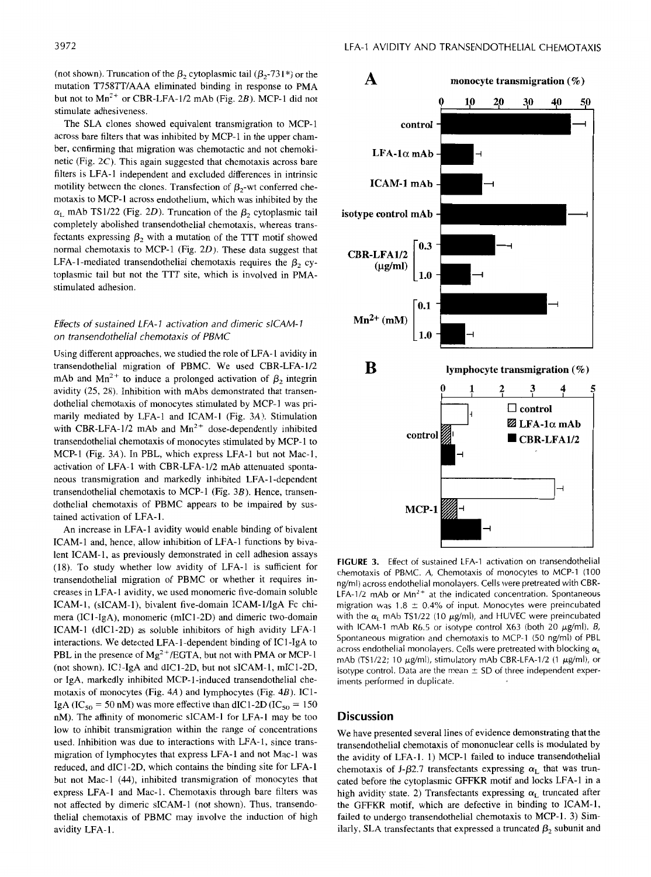(not shown). Truncation of the  $\beta_2$  cytoplasmic tail ( $\beta_2$ -731<sup>\*</sup>) or the mutation T758TT/AAA eliminated binding in response to PMA but not to  $Mn^{2+}$  or CBR-LFA-1/2 mAb (Fig. 2B). MCP-1 did not stimulate adhesiveness.

The SLA clones showed equivalent transmigration to MCP-1 across bare filters that was inhibited by MCP-1 in the upper chamber, confirming that migration was chemotactic and not chemokinetic (Fig. 2C). This again suggested that chemotaxis across bare filters is LFA-1 independent and excluded differences in intrinsic motility between the clones. Transfection of  $\beta_2$ -wt conferred chemotaxis to MCP-I across endothelium, which was inhibited by the  $\alpha$ <sub>L</sub> mAb TS1/22 (Fig. 2D). Truncation of the  $\beta$ <sub>2</sub> cytoplasmic tail completely abolished transendothelial chemotaxis, whereas transfectants expressing  $\beta_2$  with a mutation of the TTT motif showed normal chemotaxis to MCP-1 (Fig.  $2D$ ). These data suggest that LFA-1-mediated transendothelial chemotaxis requires the  $\beta_2$  cytoplasmic tail but not the TTT site, which is involved in PMAstimulated adhesion.

## *Effects of sustained LFA- 1 activation and dimeric siCAM- <sup>I</sup> on transendothelial chemotaxis of PBMC*

Using different approaches, we studied the role of LFA-1 avidity in transendothelial migration of PBMC. We used CBR-LFA-1/2 mAb and Mn<sup>2+</sup> to induce a prolonged activation of  $\beta_2$  integrin avidity (25, 28). Inhibition with mAbs demonstrated that transendothelial chemotaxis of monocytes stimulated by MCP-I was primarily mediated by LFA-1 and ICAM-I (Fig. 3A). Stimulation with CBR-LFA-1/2 mAb and  $Mn^{2+}$  dose-dependently inhibited transendothelial chemotaxis of monocytes stimulated by MCP-1 to MCP-1 (Fig. 3A). In PBL, which express LFA-1 but not Mac-I, activation of LFA-1 with CBR-LFA-1/2 mAb attenuated spontaneous transmigration and markedly inhibited LFA- 1-dependent transendothelial chemotaxis to MCP-I (Fig. *3B).* Hence, transendothelial chemotaxis of PBMC appears to be impaired by sustained activation of LFA-I.

An increase in LFA-1 avidity would enable binding of bivalent ICAM-1 and, hence, allow inhibition of LFA-1 functions by bivalent ICAM-1, as previously demonstrated in cell adhesion assays (18). To study whether low avidity of LFA-1 is sufficient for transendothelial migration of PBMC or whether it requires increases in LFA-1 avidity, we used monomeric five-domain soluble ICAM-1, (sICAM-1), bivalent five-domain ICAM-1/IgA Fc chimera (IC1 -IgA), monomeric (mICI-2D) and dimeric two-domain ICAM-I (dIC1-2D) as soluble inhibitors of high avidity LFA-1 interactions. We detected LFA- 1 -dependent binding of IC1 -1gA to PBL in the presence of  $Mg^{2+}/EGTA$ , but not with PMA or MCP-1 (not shown). IC1-IgA and dICI-2D, but not SICAM-I, mIC1-2D, or IgA, markedly inhibited MCP-1-induced transendothelial chemotaxis of monocytes (Fig. 4A) and lymphocytes (Fig. 4B). IC1- IgA (IC<sub>50</sub> = 50 nM) was more effective than dIC1-2D (IC<sub>50</sub> = 150) nM). The affinity of monomeric SICAM-I for LFA-I may be too low to inhibit transmigration within the range of concentrations used. Inhibition was due to interactions with LFA-1, since transmigration of lymphocytes that express LFA-1 and not Mac-I was reduced, and dIC1-2D, which contains the binding site for LFA-1 but not Mac-I (44), inhibited transmigration of monocytes that express LFA-I and Mac-1. Chemotaxis through bare filters was not affected by dimeric SICAM-I (not shown). Thus, transendothelia1 chemotaxis of PBMC may involve the induction of high avidity LFA-1.



**FIGURE 3.** Effect of sustained LFA-1 activation on transendothelial chemotaxis of PBMC. *A,* Chemotaxis of monocytes to MCP-1 (100 ng/ml) across endothelial monolayers. Cells were pretreated with CBR-LFA-1/2 mAb or  $Mn^{2+}$  at the indicated concentration. Spontaneous migration was  $1.8 \pm 0.4\%$  of input. Monocytes were preincubated with the  $\alpha$ <sub>L</sub> mAb TS1/22 (10  $\mu$ g/ml), and HUVEC were preincubated with ICAM-1 mAb R6.5 or isotype control X63 (both 20  $\mu$ g/ml). *B*, Spontaneous migration and chemotaxis to MCP-1 (50 ng/ml) of PBL across endothelial monolayers. Cells were pretreated with blocking  $\alpha$ <sub>L</sub> mAb (TS1/22; 10  $\mu$ g/ml), stimulatory mAb CBR-LFA-1/2 (1  $\mu$ g/ml), or isotype control. Data are the mean  $\pm$  SD of three independent experiments performed in duplicate.

## **Discussion**

We have presented several lines of evidence demonstrating that the transendothelial chemotaxis of mononuclear cells is modulated by the avidity of LFA-I. 1) MCP-I failed to induce transendothelial chemotaxis of J- $\beta$ 2.7 transfectants expressing  $\alpha_L$  that was truncated before the cytoplasmic GFFKR motif and locks LFA-1 in a high avidity state. 2) Transfectants expressing  $\alpha_L$  truncated after the GFFKR motif, which are defective in binding to ICAM-I, failed to undergo transendothelial chemotaxis to MCP-I. 3) Similarly, SLA transfectants that expressed a truncated  $\beta_2$  subunit and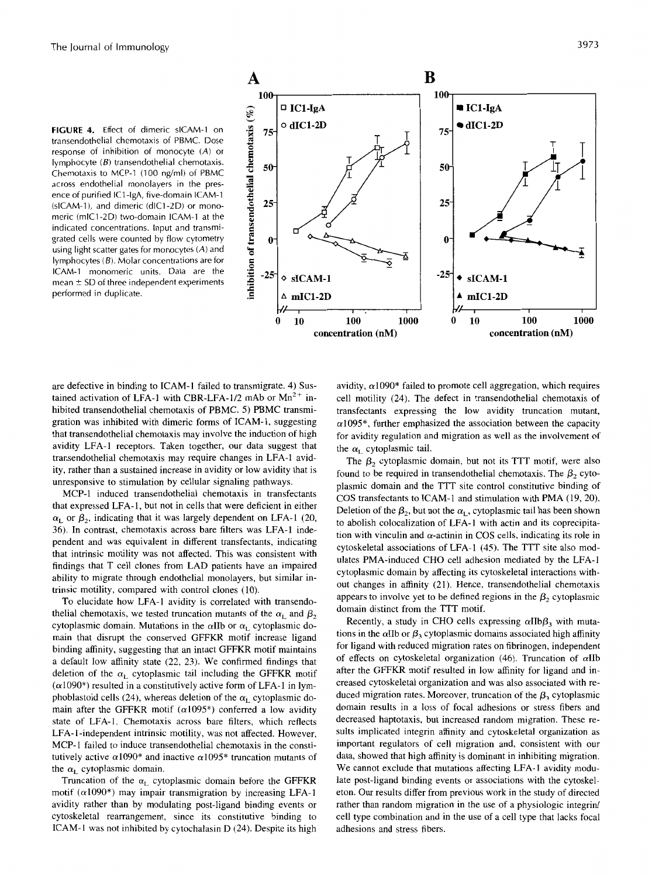**FIGURE 4.** Effect of dimeric sICAM-1 on transendothelial chemotaxis of PBMC. Dose response of inhibition of monocyte *(A)* or lymphocyte *(B)* transendothelial chemotaxis. Chemotaxis to MCP-1 (100 ng/ml) of PBMC across endothelial monolayers in the presence of purified IC1 -lgA, five-domain ICAM-1 (SICAM-l), and dimeric (dlC1-2D) or monomeric (mlC1-2D) two-domain ICAM-1 at the indicated concentrations. Input and transmigrated cells were counted by flow cytometry using light scatter gates for monocytes *(A)* and lymphocytes *(B).* Molar concentrations are for ICAM-1 monomeric units. Data are the mean  $\pm$  SD of three independent experiments performed in duplicate.



are defective in binding to ICAM-1 failed to transmigrate. 4) **Sus**tained activation of LFA-1 with CBR-LFA-1/2 mAb or  $Mn^{2+}$  inhibited transendothelial chemotaxis of PBMC. *5)* PBMC transmigration was inhibited with dimeric forms of ICAM-I, suggesting that transendothelial chemotaxis may involve the induction of high avidity LFA-I receptors. Taken together, our data suggest that transendothelial chemotaxis may require changes in LFA-1 avidity, rather than a sustained increase in avidity or low avidity that is unresponsive to stimulation by cellular signaling pathways.

MCP-1 induced transendothelial chemotaxis in transfectants that expressed LFA-1, but not in cells that were deficient in either  $\alpha_1$  or  $\beta_2$ , indicating that it was largely dependent on LFA-1 (20, 36). In contrast, chemotaxis across bare filters was LFA-1 independent and was equivalent in different transfectants, indicating that intrinsic motility was not affected. This was consistent with findings that T cell clones from LAD patients have an impaired ability to migrate through endothelial monolayers, but similar intrinsic motility, compared with control clones (IO).

To elucidate how LFA-1 avidity is correlated with transendothelial chemotaxis, we tested truncation mutants of the  $\alpha_L$  and  $\beta_2$ cytoplasmic domain. Mutations in the  $\alpha$ IIb or  $\alpha$ <sub>L</sub> cytoplasmic domain that disrupt the conserved GFFKR motif increase ligand binding affinity, suggesting that an intact GFFKR motif maintains a default low affinity state (22, 23). We confirmed findings that deletion of the  $\alpha_L$  cytoplasmic tail including the GFFKR motif  $(\alpha 1090^*)$  resulted in a constitutively active form of LFA-1 in lymphoblastoid cells (24), whereas deletion of the  $\alpha_L$  cytoplasmic domain after the GFFKR motif ( $\alpha$ 1095\*) conferred a low avidity state of LFA-I. Chemotaxis across bare filters, which reflects LFA-1-independent intrinsic motility, was not affected. However, MCP-1 failed to induce transendothelial chemotaxis in the constitutively active  $\alpha$ 1090\* and inactive  $\alpha$ 1095\* truncation mutants of the  $\alpha$ <sub>L</sub> cytoplasmic domain.

Truncation of the  $\alpha_L$  cytoplasmic domain before the GFFKR motif  $(\alpha 1090^*)$  may impair transmigration by increasing LFA-1 avidity rather than by modulating post-ligand binding events or cytoskeletal rearrangement, since its constitutive binding to ICAM-1 was not inhibited by cytochalasin  $D(24)$ . Despite its high

avidity,  $\alpha$ 1090\* failed to promote cell aggregation, which requires cell motility (24). The defect in transendothelial chemotaxis of transfectants expressing the low avidity truncation mutant,  $\alpha$ 1095<sup>\*</sup>, further emphasized the association between the capacity for avidity regulation and migration as well as the involvement of the  $\alpha_{\rm r}$  cytoplasmic tail.

The  $\beta_2$  cytoplasmic domain, but not its TTT motif, were also found to be required in transendothelial chemotaxis. The  $\beta_2$  cytoplasmic domain and the TTT site control constitutive binding of COS transfectants to ICAM-1 and stimulation with PMA (19, 20). Deletion of the  $\beta_2$ , but not the  $\alpha_L$ , cytoplasmic tail has been shown to abolish colocalization of LFA-I with actin and its coprecipitation with vinculin and  $\alpha$ -actinin in COS cells, indicating its role in cytoskeletal associations of LFA-1 (45). The TTT site also modulates PMA-induced CHO cell adhesion mediated by the LFA-I cytoplasmic domain by affecting its cytoskeletal interactions without changes in affinity **(21).** Hence, transendothelial chemotaxis appears to involve yet to be defined regions in the  $\beta$ , cytoplasmic domain distinct from the TTT motif.

Recently, a study in CHO cells expressing  $\alpha I_{\text{B}}\beta_2$  with mutations in the  $\alpha$ IIb or  $\beta_3$  cytoplasmic domains associated high affinity for ligand with reduced migration rates on fibrinogen, independent of effects on cytoskeletal organization (46). Truncation of aIIb after the GFFKR motif resulted in low affinity for ligand and increased cytoskeletal organization and was also associated with reduced migration rates. Moreover, truncation of the  $\beta_3$  cytoplasmic domain results in a loss of focal adhesions or stress fibers and decreased haptotaxis, but increased random migration. These results implicated integrin affinity and cytoskeletal organization as important regulators of cell migration and, consistent with our data, showed that high affinity is dominant in inhibiting migration. We cannot exclude that mutations affecting LFA-I avidity modulate post-ligand binding events or associations with the cytoskeleton. Our results differ from previous work in the study of directed rather than random migration in the use of a physiologic integrin/ cell type combination and in the use of a cell type that lacks focal adhesions and stress fibers.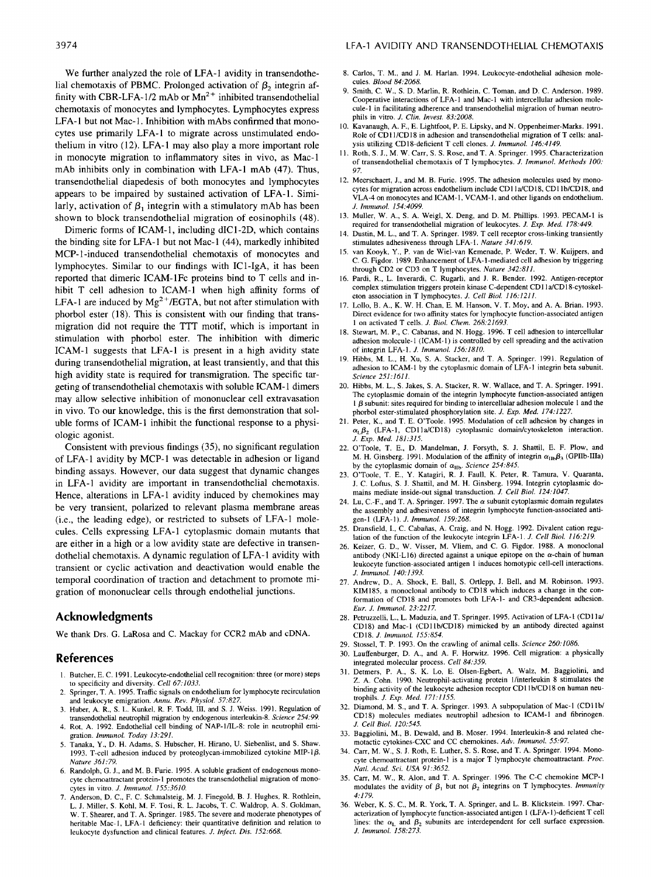We further analyzed the role of LFA-1 avidity in transendothelial chemotaxis of PBMC. Prolonged activation of  $\beta_2$  integrin affinity with CBR-LFA-1/2 mAb or  $Mn^{2+}$  inhibited transendothelial chemotaxis of monocytes and lymphocytes. Lymphocytes express LFA-I but not Mac-1. Inhibition with mAbs confirmed that monocytes use primarily LFA-1 to migrate across unstimulated endothelium in vitro (12). LFA-1 may also play a more important role in monocyte migration to inflammatory sites in vivo, as Mac-1 mAb inhibits only in combination with LFA-1 mAb **(47).** Thus, transendothelial diapedesis of both monocytes and lymphocytes appears to be impaired by sustained activation of LFA-1. Similarly, activation of  $\beta_1$  integrin with a stimulatory mAb has been shown to block transendothelial migration of eosinophils (48).

Dimeric forms of ICAM-1, including dIC1-2D, which contains the binding site for LFA-1 but not Mac-1 (44), markedly inhibited MCP-1-induced transendothelial chemotaxis of monocytes and lymphocytes. Similar to our findings with IC1-IgA, it has been reported that dimeric ICAM-1Fc proteins bind to T cells and inhibit T cell adhesion to ICAM-1 when high affinity forms of LFA-1 are induced by  $Mg^{2+}/EGTA$ , but not after stimulation with phorbol ester (18). This is consistent with our finding that transmigration did not require the TTT motif, which is important in stimulation with phorbol ester. The inhibition with dimeric ICAM-1 suggests that LFA-I is present in a high avidity state during transendothelial migration, at least transiently, and that this high avidity state is required for transmigration. The specific targeting of transendothelial chemotaxis with soluble ICAM-1 dimers may allow selective inhibition of mononuclear cell extravasation in vivo. To our knowledge, this is the first demonstration that soluble forms of ICAM-1 inhibit the functional response to a physiologic agonist.

Consistent with previous findings *(35),* no significant regulation of LFA-1 avidity by MCP-1 was detectable in adhesion or ligand binding assays. However, **our** data suggest that dynamic changes in LFA-1 avidity are important in transendothelial chemotaxis. Hence, alterations in LFA-1 avidity induced by chemokines may be very transient, polarized to relevant plasma membrane areas (i.e., the leading edge), or restricted to subsets of LFA-1 molecules. Cells expressing LFA-1 cytoplasmic domain mutants that are either in a high **or** a low avidity state are defective in transendothelial chemotaxis. A dynamic regulation of LFA-1 avidity with transient or cyclic activation and deactivation would enable the temporal coordination of traction and detachment to promote migration of mononuclear cells through endothelial junctions.

## **Acknowledgments**

**We** thank **Drs.** *G.* LaRosa **and** C. Mackay for CCR2 **mAb** and **cDNA.** 

## **References**

- **1.** Butcher, E. C. 1991. Leukocyte-endothelial cell recognition: three (or more) steps to specificity and diversity. *Cell* 67:1033.
- 2. Springer, T. A. 1995. Traffic signals on endothelium for lymphocyte recirculation and leukocyte emigration. *Annu. Rev. Physiol.* 57:827.
- 3. Huber, A. R., **S.** L. Kunkel, R. F. Todd, **111,** and **S. J.** Weiss. 1991. Regulation of transendothelial neutrophil migration by endogenous interleukin-8. *Science* 254:99.
- 4. Rot, A. 1992. Endothelial cell binding of NAP-1/IL-8: role in neutrophil emigration. *Immunol. Today* 13.291.
- *5.* Tanaka, **Y.,** D. H. Adams, **S.** Hubscher, H. Hirano, U. Siebenlist, and *S.* Shaw. 1993. T-cell adhesion induced by proteoglycan-immobilized cytokine MIP-1 $\beta$ . *Nature* 361:79.
- 6. Randolph, *G.* I., and M. B. Furie. 1995. A soluble gradient of endogenous monocyte chemoattractant protein-I promotes the transendothelial migration of monocytes in vitro. *J. Immunol.* 155:3610.
- 7. Anderson, D. C., F. C. Schmalsteig, M. **J.** Finegold, B. J. Hughes, R. Rothlein, L. J. Miller, **S.** Kohl, M. F. Tosi. R. L. Jacobs, T. C. Waldrop, A. **S.** Goldman, W. T. Shearer, and T. A. Springer. 1985. The severe and moderate phenotypes of heritable Mac-I, LFA-I deficiency: their quantitative definition and relation to leukocyte dysfunction and clinical features. *J. Infect. Dis.* 152:668.
- **8.** Carlos, T. M., and **J.** M. Harlan. 1994. Leukocyte-endothelial adhesion molecules. *Blood* 84:2068.
- 9. Smith, C. W., **S.** D. Marlin, R. Rothlein, C. Toman, and D. C. Anderson. 1989. Cooperative interactions of LFA-I and Mac-1 with intercellular adhesion molecule-I in facilitating adherence and transendothelial migration of human neutrophils in vitro. *J. Clin. Invest.* 83:2008.
- 10. Kavanaugh, A. F., E. Lightfoot, P. E. Lipsky, and **N.** Oppenheimer-Marks. 1991. Role of CD11/CD18 in adhesion and transendothelial migration of T cells: analysis utilizing CD18-deficient T cell clones. *J. Immunol.* 146:4149.
- **11.** Roth, **S.** J., M. W. Carr, **S. S.** Rose, and T. A. Springer. 1995. Characterization of transendothelial chemotaxis of T lymphocytes. *J. Immunol. Methods 100:*  97.
- 12. Meerschaert, J., and M. B. Furie. 1995. The adhesion molecules used by monocytes for migration across endothelium include CDI la/CD18. CD1 IblCD18, and VLA-4 on monocytes and ICAM-I, VCAM-I, and other ligands on endothelium. *J. lmmunol.* 154:4099.
- 13. Muller, W. A., **S.** A. Weigl, X. Deng, and D. M. Phillips. 1993. PECAM-1 is required for transendothelial migration of leukocytes. *J. Exp. Med.* 178:449.
- 14. Dustin, M. L., and T. A. Springer. 1989. T cell receptor cross-linking transiently stimulates adhesiveness through LFA-I, *Nature* 341:619.
- van Kooyk, Y., P. van de Wiel-van Kemenade, P. Weder, T. W. Kuijpers, and C. G. Figdor. 1989. Enhancement of LFA-I-mediated cell adhesion by triggering through CD2 or CD3 on T lymphocytes. *Nature* 342:811.
- 16. Pardi, R., L. Inverardi, C. Rugarli, and **1.** R. Bender. 1992. Antigen-receptor complex stimulation triggers protein kinase C-dependent CDI la/CD18-cytoskeleton association in T lymphocytes. *J. Cell Biol.* 116:1211.
- 17. Lollo. B. A., K. W. H. Chan, E. M. Hanson, V. T. Moy, and A. A. Brian. 1993. Direct evidence for two affinity states for lymphocyte function-associated antigen **1** on activated T cells. *J. Bid. Chem.* 268:21693.
- **18.** Stewart, M. P., C. Cabanas, and N. Hogg. 1996. T cell adhesion to intercellular adhesion molecule-I (ICAM-1) is controlled by cell spreading and the activation of integrin LFA-I , *J. Immunol.* 156:1810.
- 19. Hibbs, M. L., H. Xu, **S.** A. Stacker, and T. A. Springer. 1991. Regulation of adhesion to ICAM-I by the cytoplasmic domain of LFA-I integrin beta subunit. *Science* 251:1611.
- 20. Hibbs, M. L.. **S.** Jakes, **S.** A. Stacker, R. W. Wallace, and T. A. Springer. 1991. The cytoplasmic domain of the integrin lymphocyte function-associated antigen I *p* subunit: sites required for binding to intercellular adhesion molecule **1** and the phorbol ester-stimulated phosphorylation site. *J. Exp. Med.* 174:1227.
- 21. Peter, K., and T. E. O'Toole. 1995. Modulation of cell adhesion by changes in  $\alpha_{L}\beta_{2}$  (LFA-1, CD11a/CD18) cytoplasmic domain/cytoskeleton interaction. *J. Exp. Med.* 181:315.
- 22. O'Toole, T. E., D. Mandelman. **I.** Forsyth, **S.** J. Shattil. E. F. Plow, and M. H. Ginsberg. 1991. Modulation of the affinity of integrin  $\alpha_{\rm Ilb}\beta_3$  (GPIIb-IIIa) by the cytoplasmic domain of  $\alpha_{\text{IIb}}$ . *Science* 254:845.
- 23. O'Toole, T. E., Y. Katagiri, R. **I.** Faull, K. Peter, R. Tamura, V. Quaranta, **J.** C. Loftus, **S. J.** Shattil, and M. H. Ginsberg. 1994. Integrin cytoplasmic domains mediate inside-out signal transduction. *J. Cell Biol.* 124:1047.
- 24. Lu, C.-F., and T. A. Springer. 1997. The  $\alpha$  subunit cytoplasmic domain regulates the assembly and adhesiveness of integrin lymphocyte function-associated antigen-I (LFA-I). *J. lmmunol.* 159:268.
- 25. Dransfield. I., C. Cabahas, A. Craig, and **N.** Hogg. 1992. Divalent cation regulation of the function of the leukocyte integrin LFA-I. *J. Cell Biol.* 116.219.
- 26. Keizer, *G.* D., W. Visser, M. Vliem, and C. G. Figdor. 1988. A monoclonal antibody (NKI-L16) directed against a unique epitope on the  $\alpha$ -chain of human leukocyte function-associated antigen **1** induces homotypic cell-cell interactions. *J. lmmunol.* 140:1393.
- 27. Andrew, D., A. Shock, E. Ball, **S.** Ortlepp, J. Bell, and M. Robinson. 1993. KIM185, a monoclonal antibody to CD18 which induces a change in the conformation of CD18 and promotes both LFA-I- and CR3-dependent adhesion. *Eur. J. lmmunol.* 23:2217.
- 28. Petruzzelli, L., L. Maduzia, and T. Springer. 1995. Activation of LFA-1 (CD11a/ CD18) and Mac-I (CDllblCDIX) mimicked by an antibody directed against CD18. *J. Immunol.* 155:854.
- 29. Stossel, T. P. 1993. On the crawling of animal cells. *Science* 260:1086.
- 30. Lauffenburger, D. A,, and A. **F.** Honvitz. 1996. Cell migration: a physically integrated molecular process. *Cell* 84.359.
- 31. Detmers, P. A,, **S.** K. Lo, **E.** Olsen-Egbert, A. Walz. M. Baggiolini, and **Z. A. Cohn. 1990. Neutrophil-activating protein 1/interleukin 8 stimulates the** binding activity of the leukocyte adhesion receptor CD11b/CD18 on human neutrophils. *J. Exp. Med.* 171:1155.
- 32. Diamond, M. **S.,** and T. A. Springer. 1993. A subpopulation of Mac-I (CDI Ibl *J. Cell Biol.* 120:545. CD18) molecules mediates neutrophil adhesion to [CAM-I and fibrinogen.
- 33. Baggiolini, M., B. Dewald, and B. Moser. 1994. Interleukin-8 and related chemotactic cytokines-CXC and CC chemokines. *Ad)'. lmmunol.* 55:97.
- 34. Carr, M. **W., S. J.** Roth, E. Luther, **S. S.** Rose, and T. A. Springer. 1994. Monocyte chemoattractant protein-I is a major T lymphocyte chemoattractant. *Proc. Natl. Acad. Sci. USA* 91:3652.
- *35.* Car, M. W., R. Alon, and T. A. Springer. 1996. The C-C chemokine MCP-I 4:179. modulates the avidity of  $\beta_1$  but not  $\beta_2$  integrins on T lymphocytes. *Immunity*
- 36. Weber, K. **S.** C., M. R. York, T. A. Springer, and L. B. Klickstein. 1997. Characterization of lymphocyte function-associated antigen I (LFA-1)-deficient T cell lines: the  $\alpha_L$  and  $\beta_2$  subunits are interdependent for cell surface expression. *J. lmmunol.* 158:273.